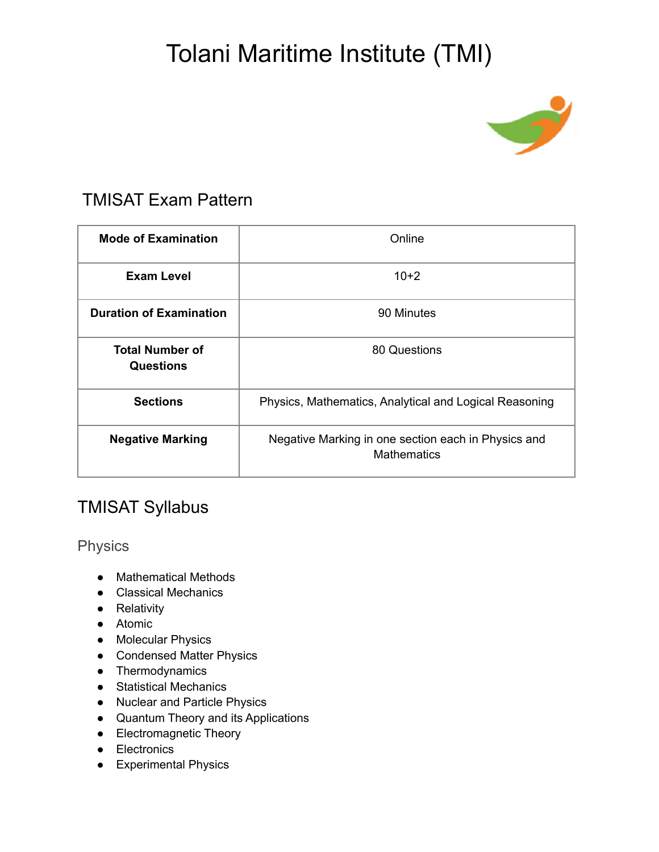# Tolani Maritime Institute (TMI)



#### TMISAT Exam Pattern

| <b>Mode of Examination</b>                 | Online                                                                    |
|--------------------------------------------|---------------------------------------------------------------------------|
| <b>Exam Level</b>                          | $10+2$                                                                    |
| <b>Duration of Examination</b>             | 90 Minutes                                                                |
| <b>Total Number of</b><br><b>Questions</b> | 80 Questions                                                              |
| <b>Sections</b>                            | Physics, Mathematics, Analytical and Logical Reasoning                    |
| <b>Negative Marking</b>                    | Negative Marking in one section each in Physics and<br><b>Mathematics</b> |

### TMISAT Syllabus

Physics

- Mathematical Methods
- Classical Mechanics
- Relativity
- Atomic
- Molecular Physics
- Condensed Matter Physics
- Thermodynamics
- Statistical Mechanics
- Nuclear and Particle Physics
- Quantum Theory and its Applications
- Electromagnetic Theory
- Electronics
- Experimental Physics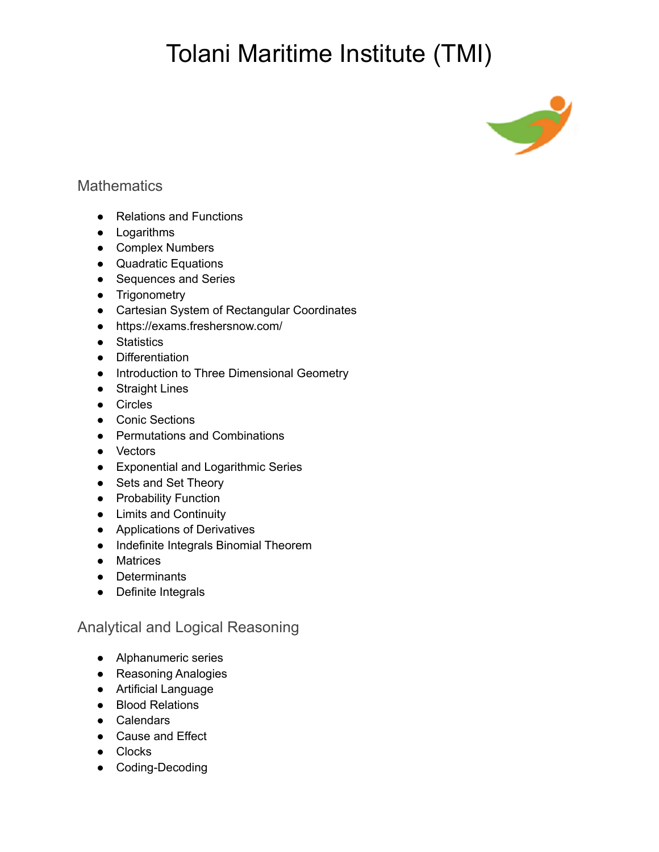## Tolani Maritime Institute (TMI)



#### **Mathematics**

- Relations and Functions
- Logarithms
- Complex Numbers
- Quadratic Equations
- Sequences and Series
- Trigonometry
- Cartesian System of Rectangular Coordinates
- <https://exams.freshersnow.com/>
- Statistics
- Differentiation
- Introduction to Three Dimensional Geometry
- Straight Lines
- Circles
- Conic Sections
- Permutations and Combinations
- Vectors
- Exponential and Logarithmic Series
- Sets and Set Theory
- Probability Function
- Limits and Continuity
- Applications of Derivatives
- Indefinite Integrals Binomial Theorem
- Matrices
- Determinants
- Definite Integrals

#### Analytical and Logical Reasoning

- Alphanumeric series
- Reasoning Analogies
- Artificial Language
- Blood Relations
- Calendars
- Cause and Effect
- Clocks
- Coding-Decoding